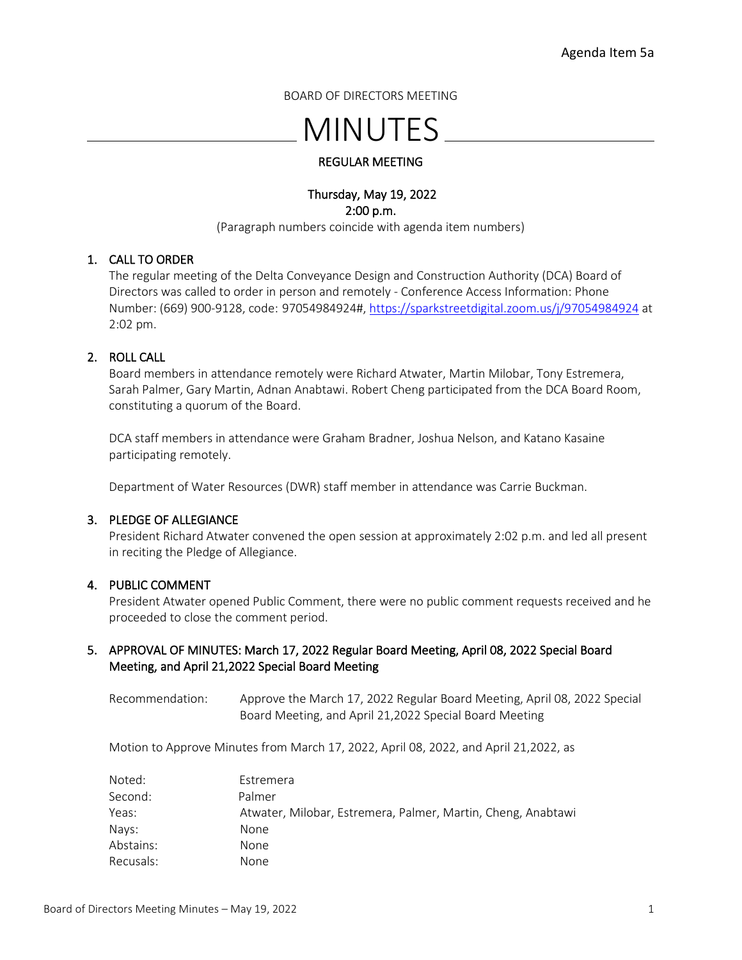BOARD OF DIRECTORS MEETING

# MINUTES

## REGULAR MEETING

## Thursday, May 19, 2022 2:00 p.m.

(Paragraph numbers coincide with agenda item numbers)

## 1. CALL TO ORDER

The regular meeting of the Delta Conveyance Design and Construction Authority (DCA) Board of Directors was called to order in person and remotely - Conference Access Information: Phone Number: (669) 900-9128, code: 97054984924#, <https://sparkstreetdigital.zoom.us/j/97054984924> at 2:02 pm.

## 2. ROLL CALL

Board members in attendance remotely were Richard Atwater, Martin Milobar, Tony Estremera, Sarah Palmer, Gary Martin, Adnan Anabtawi. Robert Cheng participated from the DCA Board Room, constituting a quorum of the Board.

DCA staff members in attendance were Graham Bradner, Joshua Nelson, and Katano Kasaine participating remotely.

Department of Water Resources (DWR) staff member in attendance was Carrie Buckman.

## 3. PLEDGE OF ALLEGIANCE

President Richard Atwater convened the open session at approximately 2:02 p.m. and led all present in reciting the Pledge of Allegiance.

## 4. PUBLIC COMMENT

President Atwater opened Public Comment, there were no public comment requests received and he proceeded to close the comment period.

## 5. APPROVAL OF MINUTES: March 17, 2022 Regular Board Meeting, April 08, 2022 Special Board Meeting, and April 21,2022 Special Board Meeting

Recommendation: Approve the March 17, 2022 Regular Board Meeting, April 08, 2022 Special Board Meeting, and April 21,2022 Special Board Meeting

Motion to Approve Minutes from March 17, 2022, April 08, 2022, and April 21,2022, as

| Noted:    | Estremera                                                    |
|-----------|--------------------------------------------------------------|
| Second:   | Palmer                                                       |
| Yeas:     | Atwater, Milobar, Estremera, Palmer, Martin, Cheng, Anabtawi |
| Nays:     | None.                                                        |
| Abstains: | None.                                                        |
| Recusals: | None                                                         |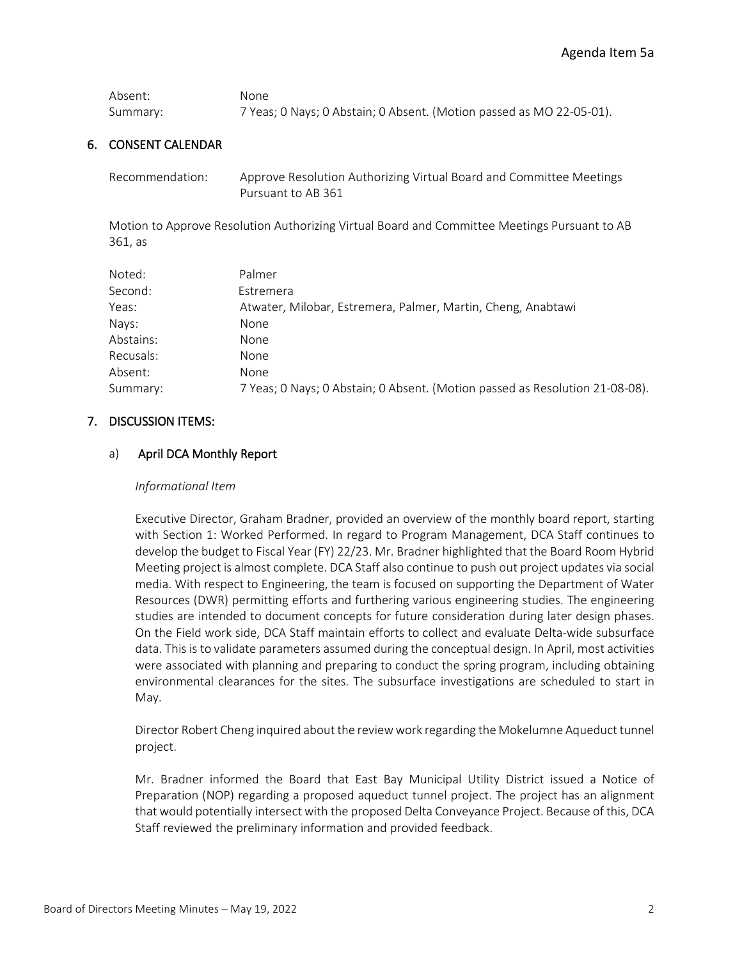| Absent:  | None.                                                                |
|----------|----------------------------------------------------------------------|
| Summary: | 7 Yeas; 0 Nays; 0 Abstain; 0 Absent. (Motion passed as MO 22-05-01). |

#### 6. CONSENT CALENDAR

| Recommendation: | Approve Resolution Authorizing Virtual Board and Committee Meetings |
|-----------------|---------------------------------------------------------------------|
|                 | Pursuant to AB 361                                                  |

Motion to Approve Resolution Authorizing Virtual Board and Committee Meetings Pursuant to AB 361, as

| Noted:    | Palmer                                                                       |
|-----------|------------------------------------------------------------------------------|
| Second:   | Estremera                                                                    |
| Yeas:     | Atwater, Milobar, Estremera, Palmer, Martin, Cheng, Anabtawi                 |
| Nays:     | None                                                                         |
| Abstains: | None                                                                         |
| Recusals: | None                                                                         |
| Absent:   | None                                                                         |
| Summary:  | 7 Yeas; 0 Nays; 0 Abstain; 0 Absent. (Motion passed as Resolution 21-08-08). |

#### 7. DISCUSSION ITEMS:

#### a) April DCA Monthly Report

#### *Informational Item*

Executive Director, Graham Bradner, provided an overview of the monthly board report, starting with Section 1: Worked Performed. In regard to Program Management, DCA Staff continues to develop the budget to Fiscal Year (FY) 22/23. Mr. Bradner highlighted that the Board Room Hybrid Meeting project is almost complete. DCA Staff also continue to push out project updates via social media. With respect to Engineering, the team is focused on supporting the Department of Water Resources (DWR) permitting efforts and furthering various engineering studies. The engineering studies are intended to document concepts for future consideration during later design phases. On the Field work side, DCA Staff maintain efforts to collect and evaluate Delta-wide subsurface data. This is to validate parameters assumed during the conceptual design. In April, most activities were associated with planning and preparing to conduct the spring program, including obtaining environmental clearances for the sites. The subsurface investigations are scheduled to start in May.

Director Robert Cheng inquired about the review work regarding the Mokelumne Aqueduct tunnel project.

Mr. Bradner informed the Board that East Bay Municipal Utility District issued a Notice of Preparation (NOP) regarding a proposed aqueduct tunnel project. The project has an alignment that would potentially intersect with the proposed Delta Conveyance Project. Because of this, DCA Staff reviewed the preliminary information and provided feedback.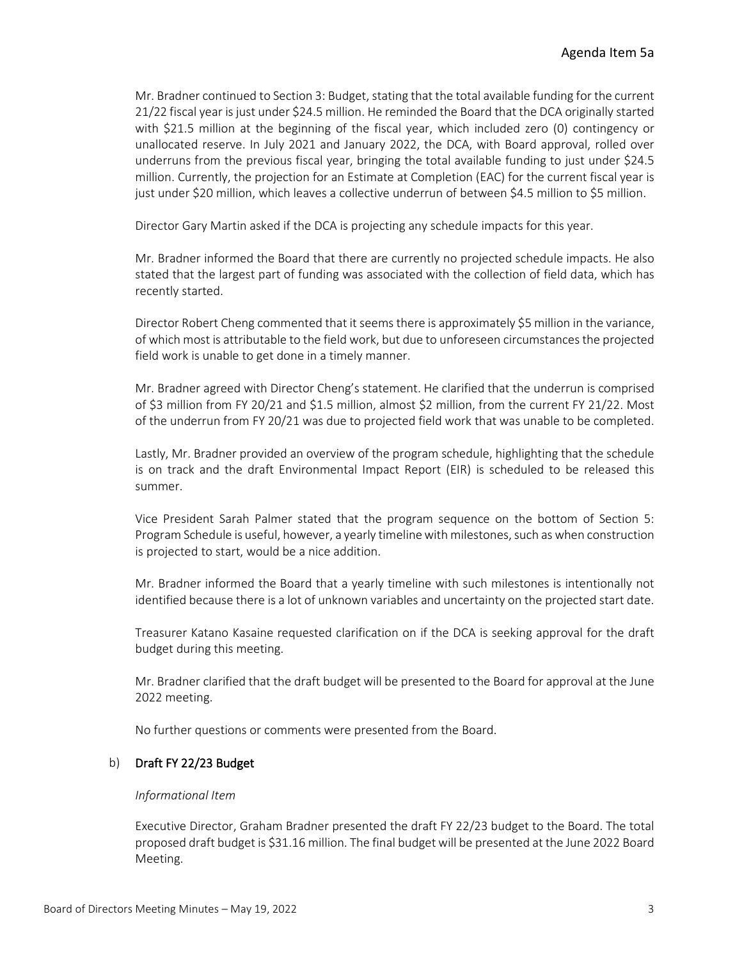Mr. Bradner continued to Section 3: Budget, stating that the total available funding for the current 21/22 fiscal year is just under \$24.5 million. He reminded the Board that the DCA originally started with \$21.5 million at the beginning of the fiscal year, which included zero (0) contingency or unallocated reserve. In July 2021 and January 2022, the DCA, with Board approval, rolled over underruns from the previous fiscal year, bringing the total available funding to just under \$24.5 million. Currently, the projection for an Estimate at Completion (EAC) for the current fiscal year is just under \$20 million, which leaves a collective underrun of between \$4.5 million to \$5 million.

Director Gary Martin asked if the DCA is projecting any schedule impacts for this year.

Mr. Bradner informed the Board that there are currently no projected schedule impacts. He also stated that the largest part of funding was associated with the collection of field data, which has recently started.

Director Robert Cheng commented that it seems there is approximately \$5 million in the variance, of which most is attributable to the field work, but due to unforeseen circumstances the projected field work is unable to get done in a timely manner.

Mr. Bradner agreed with Director Cheng's statement. He clarified that the underrun is comprised of \$3 million from FY 20/21 and \$1.5 million, almost \$2 million, from the current FY 21/22. Most of the underrun from FY 20/21 was due to projected field work that was unable to be completed.

Lastly, Mr. Bradner provided an overview of the program schedule, highlighting that the schedule is on track and the draft Environmental Impact Report (EIR) is scheduled to be released this summer.

Vice President Sarah Palmer stated that the program sequence on the bottom of Section 5: Program Schedule is useful, however, a yearly timeline with milestones, such as when construction is projected to start, would be a nice addition.

Mr. Bradner informed the Board that a yearly timeline with such milestones is intentionally not identified because there is a lot of unknown variables and uncertainty on the projected start date.

Treasurer Katano Kasaine requested clarification on if the DCA is seeking approval for the draft budget during this meeting.

Mr. Bradner clarified that the draft budget will be presented to the Board for approval at the June 2022 meeting.

No further questions or comments were presented from the Board.

## b) Draft FY 22/23 Budget

#### *Informational Item*

Executive Director, Graham Bradner presented the draft FY 22/23 budget to the Board. The total proposed draft budget is \$31.16 million. The final budget will be presented at the June 2022 Board Meeting.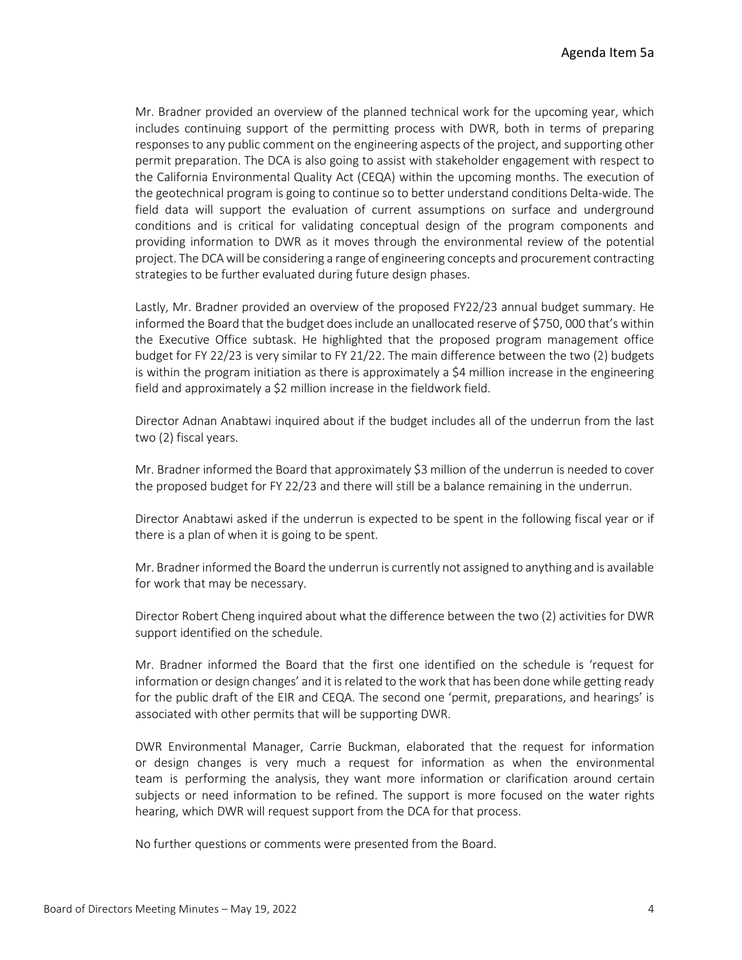Mr. Bradner provided an overview of the planned technical work for the upcoming year, which includes continuing support of the permitting process with DWR, both in terms of preparing responses to any public comment on the engineering aspects of the project, and supporting other permit preparation. The DCA is also going to assist with stakeholder engagement with respect to the California Environmental Quality Act (CEQA) within the upcoming months. The execution of the geotechnical program is going to continue so to better understand conditions Delta-wide. The field data will support the evaluation of current assumptions on surface and underground conditions and is critical for validating conceptual design of the program components and providing information to DWR as it moves through the environmental review of the potential project. The DCA will be considering a range of engineering concepts and procurement contracting strategies to be further evaluated during future design phases.

Lastly, Mr. Bradner provided an overview of the proposed FY22/23 annual budget summary. He informed the Board that the budget does include an unallocated reserve of \$750, 000 that's within the Executive Office subtask. He highlighted that the proposed program management office budget for FY 22/23 is very similar to FY 21/22. The main difference between the two (2) budgets is within the program initiation as there is approximately a \$4 million increase in the engineering field and approximately a \$2 million increase in the fieldwork field.

Director Adnan Anabtawi inquired about if the budget includes all of the underrun from the last two (2) fiscal years.

Mr. Bradner informed the Board that approximately \$3 million of the underrun is needed to cover the proposed budget for FY 22/23 and there will still be a balance remaining in the underrun.

Director Anabtawi asked if the underrun is expected to be spent in the following fiscal year or if there is a plan of when it is going to be spent.

Mr. Bradner informed the Board the underrun is currently not assigned to anything and is available for work that may be necessary.

Director Robert Cheng inquired about what the difference between the two (2) activities for DWR support identified on the schedule.

Mr. Bradner informed the Board that the first one identified on the schedule is 'request for information or design changes' and it is related to the work that has been done while getting ready for the public draft of the EIR and CEQA. The second one 'permit, preparations, and hearings' is associated with other permits that will be supporting DWR.

DWR Environmental Manager, Carrie Buckman, elaborated that the request for information or design changes is very much a request for information as when the environmental team is performing the analysis, they want more information or clarification around certain subjects or need information to be refined. The support is more focused on the water rights hearing, which DWR will request support from the DCA for that process.

No further questions or comments were presented from the Board.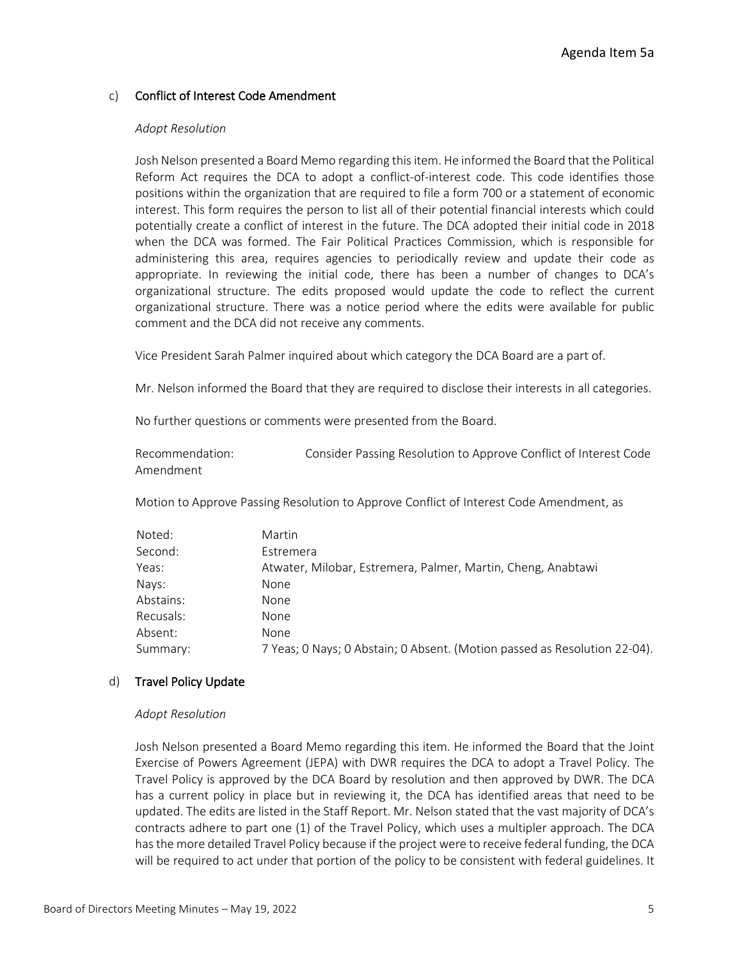## c) Conflict of Interest Code Amendment

#### *Adopt Resolution*

Josh Nelson presented a Board Memo regarding this item. He informed the Board that the Political Reform Act requires the DCA to adopt a conflict-of-interest code. This code identifies those positions within the organization that are required to file a form 700 or a statement of economic interest. This form requires the person to list all of their potential financial interests which could potentially create a conflict of interest in the future. The DCA adopted their initial code in 2018 when the DCA was formed. The Fair Political Practices Commission, which is responsible for administering this area, requires agencies to periodically review and update their code as appropriate. In reviewing the initial code, there has been a number of changes to DCA's organizational structure. The edits proposed would update the code to reflect the current organizational structure. There was a notice period where the edits were available for public comment and the DCA did not receive any comments.

Vice President Sarah Palmer inquired about which category the DCA Board are a part of.

Mr. Nelson informed the Board that they are required to disclose their interests in all categories.

No further questions or comments were presented from the Board.

| Recommendation: | Consider Passing Resolution to Approve Conflict of Interest Code |
|-----------------|------------------------------------------------------------------|
| Amendment       |                                                                  |

Motion to Approve Passing Resolution to Approve Conflict of Interest Code Amendment, as

| Noted:    | Martin                                                                    |
|-----------|---------------------------------------------------------------------------|
| Second:   | Estremera                                                                 |
| Yeas:     | Atwater, Milobar, Estremera, Palmer, Martin, Cheng, Anabtawi              |
| Nays:     | None                                                                      |
| Abstains: | None                                                                      |
| Recusals: | None                                                                      |
| Absent:   | None                                                                      |
| Summary:  | 7 Yeas; 0 Nays; 0 Abstain; 0 Absent. (Motion passed as Resolution 22-04). |

#### d) Travel Policy Update

#### *Adopt Resolution*

Josh Nelson presented a Board Memo regarding this item. He informed the Board that the Joint Exercise of Powers Agreement (JEPA) with DWR requires the DCA to adopt a Travel Policy. The Travel Policy is approved by the DCA Board by resolution and then approved by DWR. The DCA has a current policy in place but in reviewing it, the DCA has identified areas that need to be updated. The edits are listed in the Staff Report. Mr. Nelson stated that the vast majority of DCA's contracts adhere to part one (1) of the Travel Policy, which uses a multipler approach. The DCA has the more detailed Travel Policy because if the project were to receive federal funding, the DCA will be required to act under that portion of the policy to be consistent with federal guidelines. It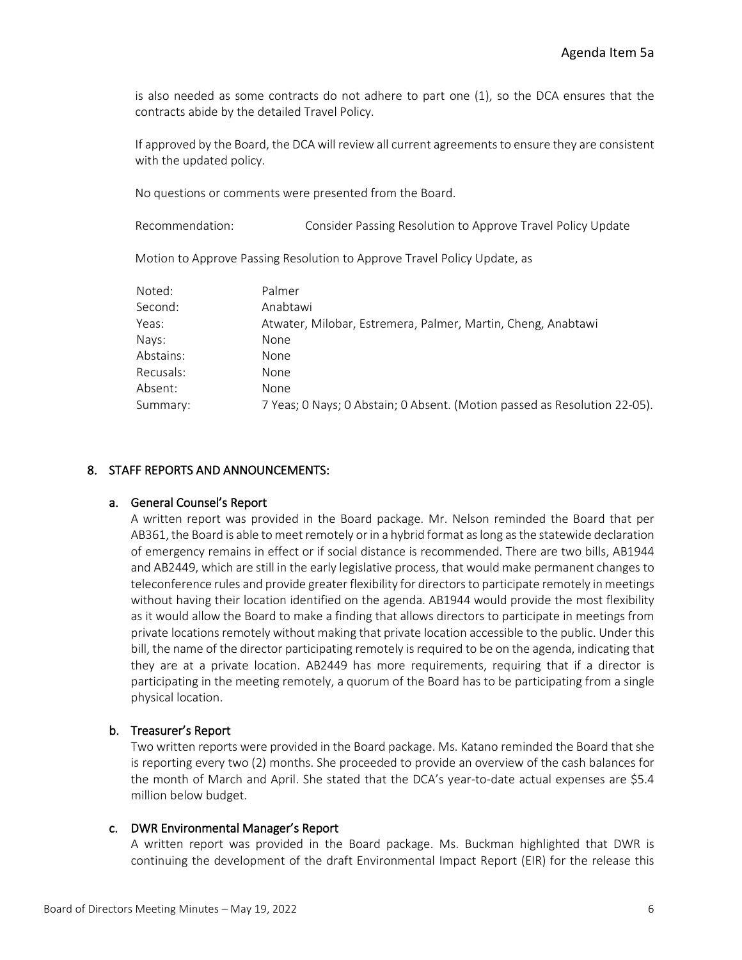is also needed as some contracts do not adhere to part one (1), so the DCA ensures that the contracts abide by the detailed Travel Policy.

If approved by the Board, the DCA will review all current agreements to ensure they are consistent with the updated policy.

No questions or comments were presented from the Board.

Recommendation: Consider Passing Resolution to Approve Travel Policy Update

Motion to Approve Passing Resolution to Approve Travel Policy Update, as

| Noted:    | Palmer                                                                    |
|-----------|---------------------------------------------------------------------------|
| Second:   | Anabtawi                                                                  |
| Yeas:     | Atwater, Milobar, Estremera, Palmer, Martin, Cheng, Anabtawi              |
| Nays:     | None                                                                      |
| Abstains: | <b>None</b>                                                               |
| Recusals: | None                                                                      |
| Absent:   | None                                                                      |
| Summary:  | 7 Yeas; 0 Nays; 0 Abstain; 0 Absent. (Motion passed as Resolution 22-05). |

## 8. STAFF REPORTS AND ANNOUNCEMENTS:

## a. General Counsel's Report

A written report was provided in the Board package. Mr. Nelson reminded the Board that per AB361, the Board is able to meet remotely or in a hybrid format as long as the statewide declaration of emergency remains in effect or if social distance is recommended. There are two bills, AB1944 and AB2449, which are still in the early legislative process, that would make permanent changes to teleconference rules and provide greater flexibility for directors to participate remotely in meetings without having their location identified on the agenda. AB1944 would provide the most flexibility as it would allow the Board to make a finding that allows directors to participate in meetings from private locations remotely without making that private location accessible to the public. Under this bill, the name of the director participating remotely is required to be on the agenda, indicating that they are at a private location. AB2449 has more requirements, requiring that if a director is participating in the meeting remotely, a quorum of the Board has to be participating from a single physical location.

## b. Treasurer's Report

Two written reports were provided in the Board package. Ms. Katano reminded the Board that she is reporting every two (2) months. She proceeded to provide an overview of the cash balances for the month of March and April. She stated that the DCA's year-to-date actual expenses are \$5.4 million below budget.

## c. DWR Environmental Manager's Report

A written report was provided in the Board package. Ms. Buckman highlighted that DWR is continuing the development of the draft Environmental Impact Report (EIR) for the release this